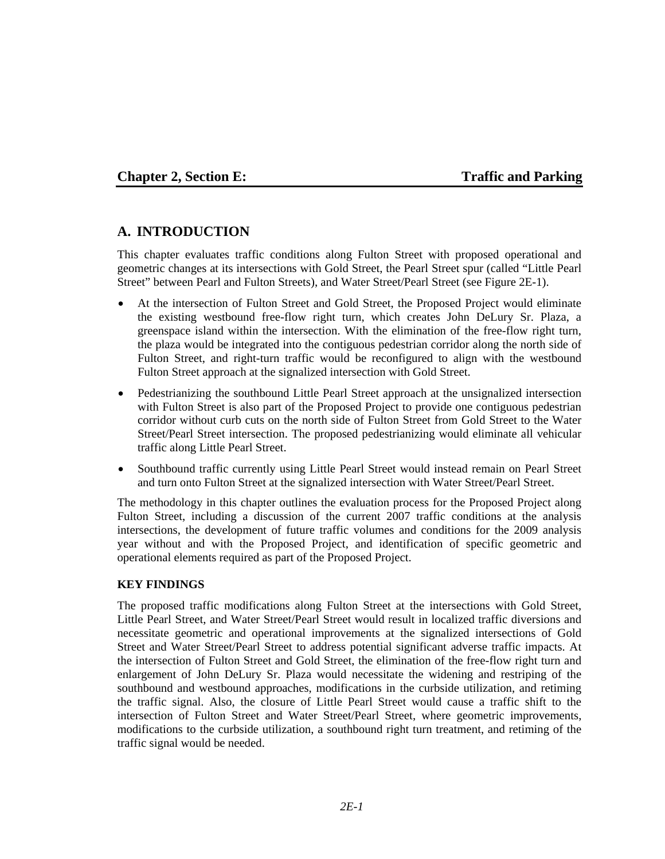## **Chapter 2, Section E:** Traffic and Parking

## **A. INTRODUCTION**

This chapter evaluates traffic conditions along Fulton Street with proposed operational and geometric changes at its intersections with Gold Street, the Pearl Street spur (called "Little Pearl Street" between Pearl and Fulton Streets), and Water Street/Pearl Street (see Figure 2E-1).

- At the intersection of Fulton Street and Gold Street, the Proposed Project would eliminate the existing westbound free-flow right turn, which creates John DeLury Sr. Plaza, a greenspace island within the intersection. With the elimination of the free-flow right turn, the plaza would be integrated into the contiguous pedestrian corridor along the north side of Fulton Street, and right-turn traffic would be reconfigured to align with the westbound Fulton Street approach at the signalized intersection with Gold Street.
- Pedestrianizing the southbound Little Pearl Street approach at the unsignalized intersection with Fulton Street is also part of the Proposed Project to provide one contiguous pedestrian corridor without curb cuts on the north side of Fulton Street from Gold Street to the Water Street/Pearl Street intersection. The proposed pedestrianizing would eliminate all vehicular traffic along Little Pearl Street.
- Southbound traffic currently using Little Pearl Street would instead remain on Pearl Street and turn onto Fulton Street at the signalized intersection with Water Street/Pearl Street.

The methodology in this chapter outlines the evaluation process for the Proposed Project along Fulton Street, including a discussion of the current 2007 traffic conditions at the analysis intersections, the development of future traffic volumes and conditions for the 2009 analysis year without and with the Proposed Project, and identification of specific geometric and operational elements required as part of the Proposed Project.

#### **KEY FINDINGS**

The proposed traffic modifications along Fulton Street at the intersections with Gold Street, Little Pearl Street, and Water Street/Pearl Street would result in localized traffic diversions and necessitate geometric and operational improvements at the signalized intersections of Gold Street and Water Street/Pearl Street to address potential significant adverse traffic impacts. At the intersection of Fulton Street and Gold Street, the elimination of the free-flow right turn and enlargement of John DeLury Sr. Plaza would necessitate the widening and restriping of the southbound and westbound approaches, modifications in the curbside utilization, and retiming the traffic signal. Also, the closure of Little Pearl Street would cause a traffic shift to the intersection of Fulton Street and Water Street/Pearl Street, where geometric improvements, modifications to the curbside utilization, a southbound right turn treatment, and retiming of the traffic signal would be needed.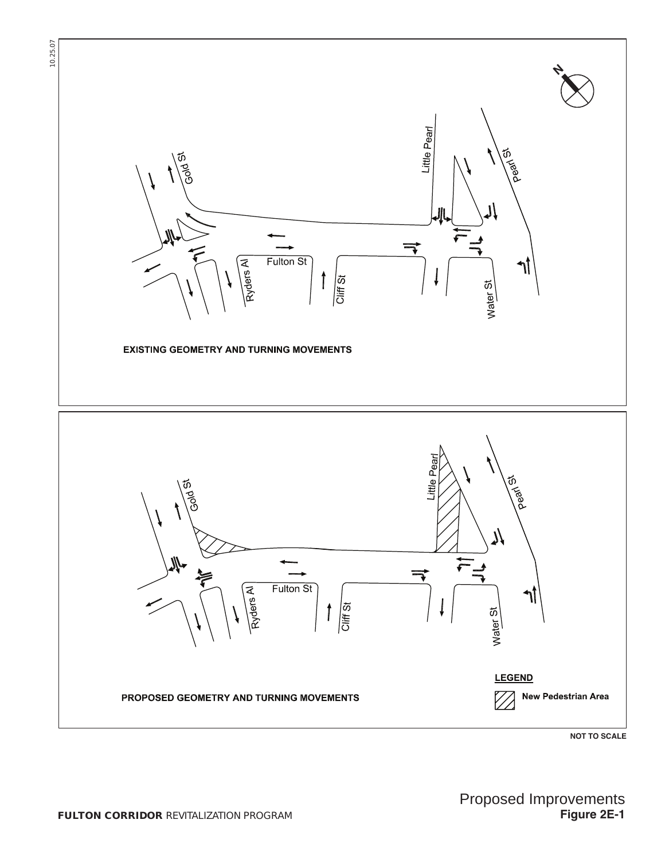



**Figure 2E-1**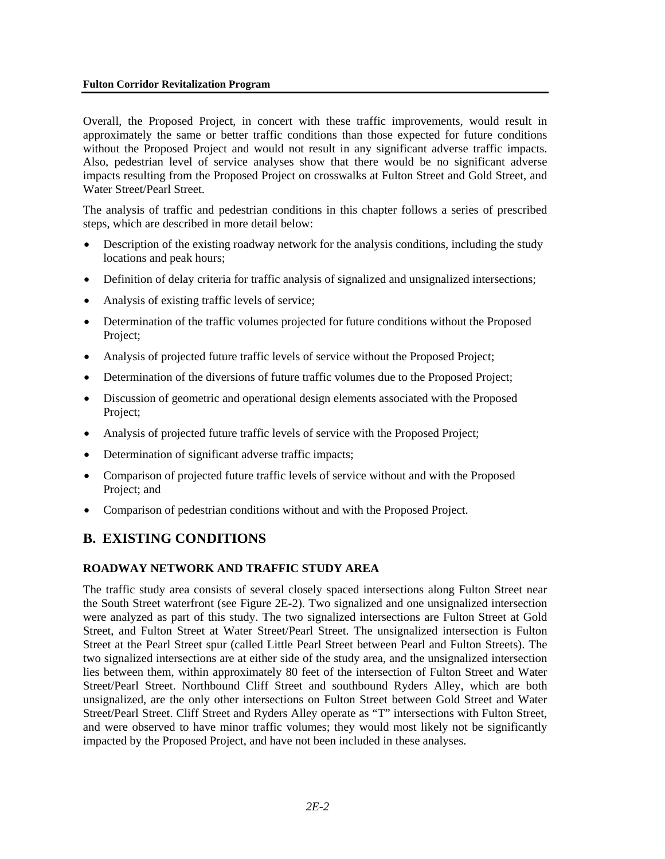#### **Fulton Corridor Revitalization Program**

Overall, the Proposed Project, in concert with these traffic improvements, would result in approximately the same or better traffic conditions than those expected for future conditions without the Proposed Project and would not result in any significant adverse traffic impacts. Also, pedestrian level of service analyses show that there would be no significant adverse impacts resulting from the Proposed Project on crosswalks at Fulton Street and Gold Street, and Water Street/Pearl Street.

The analysis of traffic and pedestrian conditions in this chapter follows a series of prescribed steps, which are described in more detail below:

- Description of the existing roadway network for the analysis conditions, including the study locations and peak hours;
- Definition of delay criteria for traffic analysis of signalized and unsignalized intersections;
- Analysis of existing traffic levels of service;
- Determination of the traffic volumes projected for future conditions without the Proposed Project;
- Analysis of projected future traffic levels of service without the Proposed Project;
- Determination of the diversions of future traffic volumes due to the Proposed Project;
- Discussion of geometric and operational design elements associated with the Proposed Project;
- Analysis of projected future traffic levels of service with the Proposed Project;
- Determination of significant adverse traffic impacts;
- Comparison of projected future traffic levels of service without and with the Proposed Project; and
- Comparison of pedestrian conditions without and with the Proposed Project.

# **B. EXISTING CONDITIONS**

## **ROADWAY NETWORK AND TRAFFIC STUDY AREA**

The traffic study area consists of several closely spaced intersections along Fulton Street near the South Street waterfront (see Figure 2E-2). Two signalized and one unsignalized intersection were analyzed as part of this study. The two signalized intersections are Fulton Street at Gold Street, and Fulton Street at Water Street/Pearl Street. The unsignalized intersection is Fulton Street at the Pearl Street spur (called Little Pearl Street between Pearl and Fulton Streets). The two signalized intersections are at either side of the study area, and the unsignalized intersection lies between them, within approximately 80 feet of the intersection of Fulton Street and Water Street/Pearl Street. Northbound Cliff Street and southbound Ryders Alley, which are both unsignalized, are the only other intersections on Fulton Street between Gold Street and Water Street/Pearl Street. Cliff Street and Ryders Alley operate as "T" intersections with Fulton Street, and were observed to have minor traffic volumes; they would most likely not be significantly impacted by the Proposed Project, and have not been included in these analyses.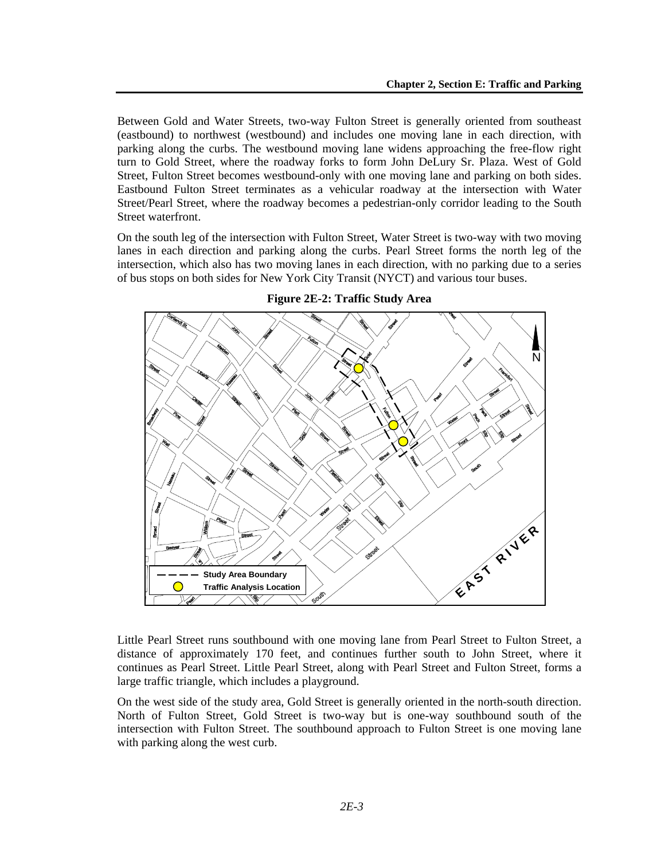Between Gold and Water Streets, two-way Fulton Street is generally oriented from southeast (eastbound) to northwest (westbound) and includes one moving lane in each direction, with parking along the curbs. The westbound moving lane widens approaching the free-flow right turn to Gold Street, where the roadway forks to form John DeLury Sr. Plaza. West of Gold Street, Fulton Street becomes westbound-only with one moving lane and parking on both sides. Eastbound Fulton Street terminates as a vehicular roadway at the intersection with Water Street/Pearl Street, where the roadway becomes a pedestrian-only corridor leading to the South Street waterfront.

On the south leg of the intersection with Fulton Street, Water Street is two-way with two moving lanes in each direction and parking along the curbs. Pearl Street forms the north leg of the intersection, which also has two moving lanes in each direction, with no parking due to a series of bus stops on both sides for New York City Transit (NYCT) and various tour buses.



**Figure 2E-2: Traffic Study Area** 

Little Pearl Street runs southbound with one moving lane from Pearl Street to Fulton Street, a distance of approximately 170 feet, and continues further south to John Street, where it continues as Pearl Street. Little Pearl Street, along with Pearl Street and Fulton Street, forms a large traffic triangle, which includes a playground.

On the west side of the study area, Gold Street is generally oriented in the north-south direction. North of Fulton Street, Gold Street is two-way but is one-way southbound south of the intersection with Fulton Street. The southbound approach to Fulton Street is one moving lane with parking along the west curb.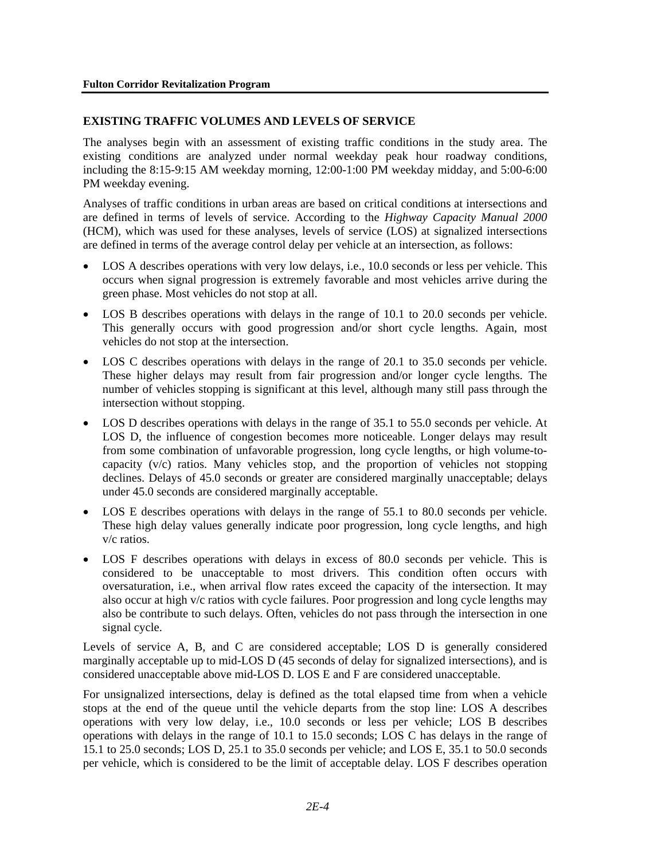### **EXISTING TRAFFIC VOLUMES AND LEVELS OF SERVICE**

The analyses begin with an assessment of existing traffic conditions in the study area. The existing conditions are analyzed under normal weekday peak hour roadway conditions, including the 8:15-9:15 AM weekday morning, 12:00-1:00 PM weekday midday, and 5:00-6:00 PM weekday evening.

Analyses of traffic conditions in urban areas are based on critical conditions at intersections and are defined in terms of levels of service. According to the *Highway Capacity Manual 2000*  (HCM), which was used for these analyses, levels of service (LOS) at signalized intersections are defined in terms of the average control delay per vehicle at an intersection, as follows:

- LOS A describes operations with very low delays, i.e., 10.0 seconds or less per vehicle. This occurs when signal progression is extremely favorable and most vehicles arrive during the green phase. Most vehicles do not stop at all.
- LOS B describes operations with delays in the range of 10.1 to 20.0 seconds per vehicle. This generally occurs with good progression and/or short cycle lengths. Again, most vehicles do not stop at the intersection.
- LOS C describes operations with delays in the range of 20.1 to 35.0 seconds per vehicle. These higher delays may result from fair progression and/or longer cycle lengths. The number of vehicles stopping is significant at this level, although many still pass through the intersection without stopping.
- LOS D describes operations with delays in the range of 35.1 to 55.0 seconds per vehicle. At LOS D, the influence of congestion becomes more noticeable. Longer delays may result from some combination of unfavorable progression, long cycle lengths, or high volume-tocapacity (v/c) ratios. Many vehicles stop, and the proportion of vehicles not stopping declines. Delays of 45.0 seconds or greater are considered marginally unacceptable; delays under 45.0 seconds are considered marginally acceptable.
- LOS E describes operations with delays in the range of 55.1 to 80.0 seconds per vehicle. These high delay values generally indicate poor progression, long cycle lengths, and high v/c ratios.
- LOS F describes operations with delays in excess of 80.0 seconds per vehicle. This is considered to be unacceptable to most drivers. This condition often occurs with oversaturation, i.e., when arrival flow rates exceed the capacity of the intersection. It may also occur at high v/c ratios with cycle failures. Poor progression and long cycle lengths may also be contribute to such delays. Often, vehicles do not pass through the intersection in one signal cycle.

Levels of service A, B, and C are considered acceptable; LOS D is generally considered marginally acceptable up to mid-LOS D (45 seconds of delay for signalized intersections), and is considered unacceptable above mid-LOS D. LOS E and F are considered unacceptable.

For unsignalized intersections, delay is defined as the total elapsed time from when a vehicle stops at the end of the queue until the vehicle departs from the stop line: LOS A describes operations with very low delay, i.e., 10.0 seconds or less per vehicle; LOS B describes operations with delays in the range of 10.1 to 15.0 seconds; LOS C has delays in the range of 15.1 to 25.0 seconds; LOS D, 25.1 to 35.0 seconds per vehicle; and LOS E, 35.1 to 50.0 seconds per vehicle, which is considered to be the limit of acceptable delay. LOS F describes operation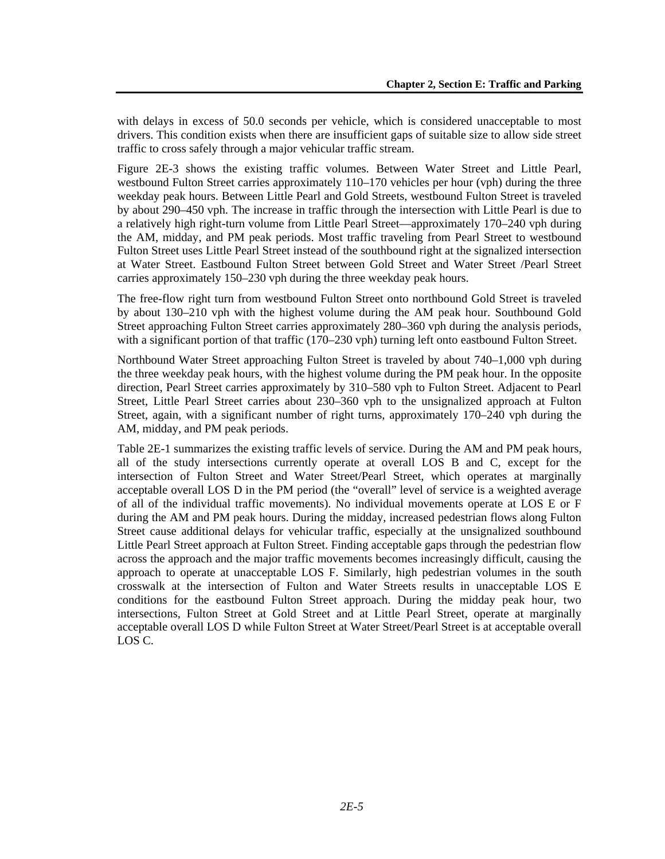with delays in excess of 50.0 seconds per vehicle, which is considered unacceptable to most drivers. This condition exists when there are insufficient gaps of suitable size to allow side street traffic to cross safely through a major vehicular traffic stream.

Figure 2E-3 shows the existing traffic volumes. Between Water Street and Little Pearl, westbound Fulton Street carries approximately 110–170 vehicles per hour (vph) during the three weekday peak hours. Between Little Pearl and Gold Streets, westbound Fulton Street is traveled by about 290–450 vph. The increase in traffic through the intersection with Little Pearl is due to a relatively high right-turn volume from Little Pearl Street—approximately 170–240 vph during the AM, midday, and PM peak periods. Most traffic traveling from Pearl Street to westbound Fulton Street uses Little Pearl Street instead of the southbound right at the signalized intersection at Water Street. Eastbound Fulton Street between Gold Street and Water Street /Pearl Street carries approximately 150–230 vph during the three weekday peak hours.

The free-flow right turn from westbound Fulton Street onto northbound Gold Street is traveled by about 130–210 vph with the highest volume during the AM peak hour. Southbound Gold Street approaching Fulton Street carries approximately 280–360 vph during the analysis periods, with a significant portion of that traffic (170–230 vph) turning left onto eastbound Fulton Street.

Northbound Water Street approaching Fulton Street is traveled by about 740–1,000 vph during the three weekday peak hours, with the highest volume during the PM peak hour. In the opposite direction, Pearl Street carries approximately by 310–580 vph to Fulton Street. Adjacent to Pearl Street, Little Pearl Street carries about 230–360 vph to the unsignalized approach at Fulton Street, again, with a significant number of right turns, approximately 170–240 vph during the AM, midday, and PM peak periods.

Table 2E-1 summarizes the existing traffic levels of service. During the AM and PM peak hours, all of the study intersections currently operate at overall LOS B and C, except for the intersection of Fulton Street and Water Street/Pearl Street, which operates at marginally acceptable overall LOS D in the PM period (the "overall" level of service is a weighted average of all of the individual traffic movements). No individual movements operate at LOS E or F during the AM and PM peak hours. During the midday, increased pedestrian flows along Fulton Street cause additional delays for vehicular traffic, especially at the unsignalized southbound Little Pearl Street approach at Fulton Street. Finding acceptable gaps through the pedestrian flow across the approach and the major traffic movements becomes increasingly difficult, causing the approach to operate at unacceptable LOS F. Similarly, high pedestrian volumes in the south crosswalk at the intersection of Fulton and Water Streets results in unacceptable LOS E conditions for the eastbound Fulton Street approach. During the midday peak hour, two intersections, Fulton Street at Gold Street and at Little Pearl Street, operate at marginally acceptable overall LOS D while Fulton Street at Water Street/Pearl Street is at acceptable overall LOS C.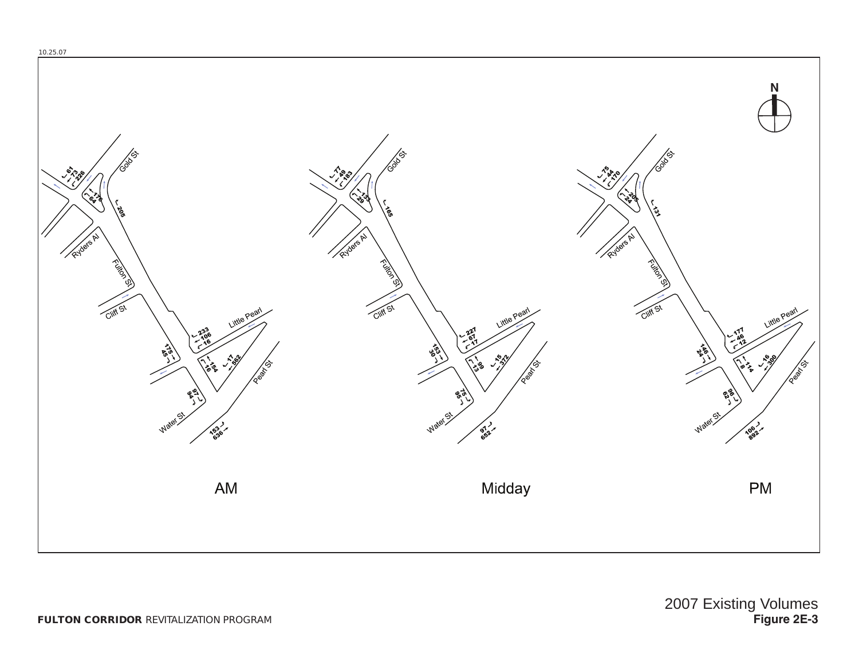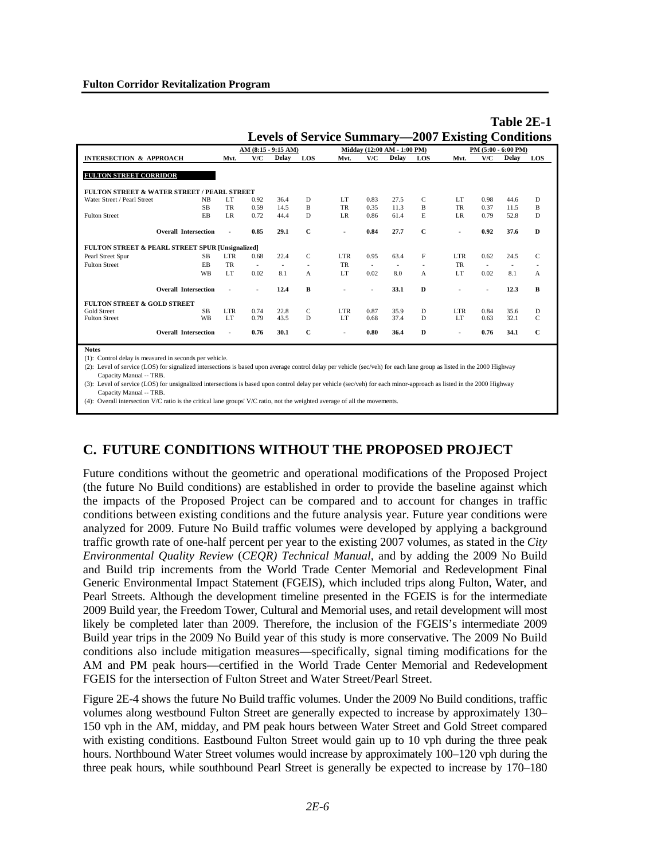|                                                  |                             |                |              |                     |               | Levels of Service Summary—2007 Existing Conditions |              |                             |                          |                         |                          |                     |             |
|--------------------------------------------------|-----------------------------|----------------|--------------|---------------------|---------------|----------------------------------------------------|--------------|-----------------------------|--------------------------|-------------------------|--------------------------|---------------------|-------------|
|                                                  |                             |                |              | AM (8:15 - 9:15 AM) |               |                                                    |              | Midday (12:00 AM - 1:00 PM) |                          |                         |                          | PM (5:00 - 6:00 PM) |             |
| <b>INTERSECTION &amp; APPROACH</b>               |                             | Mvt.           | V/C          | Delay               | LOS           | Mvt.                                               | V/C          | Delay                       | LOS                      | Mvt.                    | V/C                      | Delay               | <b>LOS</b>  |
| <b>FULTON STREET CORRIDOR</b>                    |                             |                |              |                     |               |                                                    |              |                             |                          |                         |                          |                     |             |
| FULTON STREET & WATER STREET / PEARL STREET      |                             |                |              |                     |               |                                                    |              |                             |                          |                         |                          |                     |             |
| Water Street / Pearl Street                      | <b>NB</b>                   | LT.            | 0.92         | 36.4                | D             | LT.                                                | 0.83         | 27.5                        | C                        | LT                      | 0.98                     | 44.6                | D           |
|                                                  | <b>SB</b>                   | TR             | 0.59         | 14.5                | B             | TR                                                 | 0.35         | 11.3                        | B                        | TR                      | 0.37                     | 11.5                | B           |
| <b>Fulton Street</b>                             | EB                          | LR.            | 0.72         | 44.4                | D             | LR.                                                | 0.86         | 61.4                        | E                        | LR.                     | 0.79                     | 52.8                | D           |
|                                                  | <b>Overall Intersection</b> | ٠              | 0.85         | 29.1                | $\mathbf C$   | $\blacksquare$                                     | 0.84         | 27.7                        | $\mathbf C$              | ۰                       | 0.92                     | 37.6                | D           |
| FULTON STREET & PEARL STREET SPUR [Unsignalized] |                             |                |              |                     |               |                                                    |              |                             |                          |                         |                          |                     |             |
| Pearl Street Spur                                | <b>SB</b>                   | LTR.           | 0.68         | 22.4                | $\mathcal{C}$ | LTR.                                               | 0.95         | 63.4                        | F                        | LTR.                    | 0.62                     | 24.5                | C           |
| <b>Fulton Street</b>                             | <b>FB</b>                   | TR             | $\sim$       | $\sim$              |               | TR                                                 | $\sim$       | $\overline{\phantom{a}}$    | $\overline{\phantom{a}}$ | TR                      | $\overline{\phantom{a}}$ | $\sim$              | $\sim$      |
|                                                  | <b>WB</b>                   | LT.            | 0.02         | 8.1                 | A             | LT.                                                | 0.02         | 8.0                         | A                        | LT.                     | 0.02                     | 8.1                 | A           |
|                                                  | <b>Overall Intersection</b> |                |              | 12.4                | R             |                                                    |              | 33.1                        | D                        |                         |                          | 12.3                | R           |
| <b>FULTON STREET &amp; GOLD STREET</b>           |                             |                |              |                     |               |                                                    |              |                             |                          |                         |                          |                     |             |
| Gold Street<br><b>Fulton Street</b>              | <b>SB</b><br>WB             | LTR<br>LT.     | 0.74<br>0.79 | 22.8<br>43.5        | C<br>D        | LTR.<br>LT                                         | 0.87<br>0.68 | 35.9<br>37.4                | D<br>D                   | LTR.<br>LT <sub>1</sub> | 0.84<br>0.63             | 35.6<br>32.1        | D<br>C      |
|                                                  | <b>Overall Intersection</b> | $\blacksquare$ | 0.76         | 30.1                | $\mathbf C$   | ٠                                                  | 0.80         | 36.4                        | $\bf{D}$                 |                         | 0.76                     | 34.1                | $\mathbf C$ |

**Table 2E-1 Levels of Service Summary—2007 Existing Conditions**

**Notes**

(1): Control delay is measured in seconds per vehicle.

(2): Level of service (LOS) for signalized intersections is based upon average control delay per vehicle (sec/veh) for each lane group as listed in the 2000 Highway Capacity Manual -- TRB.

(3): Level of service (LOS) for unsignalized intersections is based upon control delay per vehicle (sec/veh) for each minor-approach as listed in the 2000 Highway Capacity Manual -- TRB.

(4): Overall intersection V/C ratio is the critical lane groups' V/C ratio, not the weighted average of all the movements.

# **C. FUTURE CONDITIONS WITHOUT THE PROPOSED PROJECT**

Future conditions without the geometric and operational modifications of the Proposed Project (the future No Build conditions) are established in order to provide the baseline against which the impacts of the Proposed Project can be compared and to account for changes in traffic conditions between existing conditions and the future analysis year. Future year conditions were analyzed for 2009. Future No Build traffic volumes were developed by applying a background traffic growth rate of one-half percent per year to the existing 2007 volumes, as stated in the *City Environmental Quality Review* (*CEQR) Technical Manual*, and by adding the 2009 No Build and Build trip increments from the World Trade Center Memorial and Redevelopment Final Generic Environmental Impact Statement (FGEIS), which included trips along Fulton, Water, and Pearl Streets. Although the development timeline presented in the FGEIS is for the intermediate 2009 Build year, the Freedom Tower, Cultural and Memorial uses, and retail development will most likely be completed later than 2009. Therefore, the inclusion of the FGEIS's intermediate 2009 Build year trips in the 2009 No Build year of this study is more conservative. The 2009 No Build conditions also include mitigation measures—specifically, signal timing modifications for the AM and PM peak hours—certified in the World Trade Center Memorial and Redevelopment FGEIS for the intersection of Fulton Street and Water Street/Pearl Street.

Figure 2E-4 shows the future No Build traffic volumes. Under the 2009 No Build conditions, traffic volumes along westbound Fulton Street are generally expected to increase by approximately 130– 150 vph in the AM, midday, and PM peak hours between Water Street and Gold Street compared with existing conditions. Eastbound Fulton Street would gain up to 10 vph during the three peak hours. Northbound Water Street volumes would increase by approximately 100–120 vph during the three peak hours, while southbound Pearl Street is generally be expected to increase by 170–180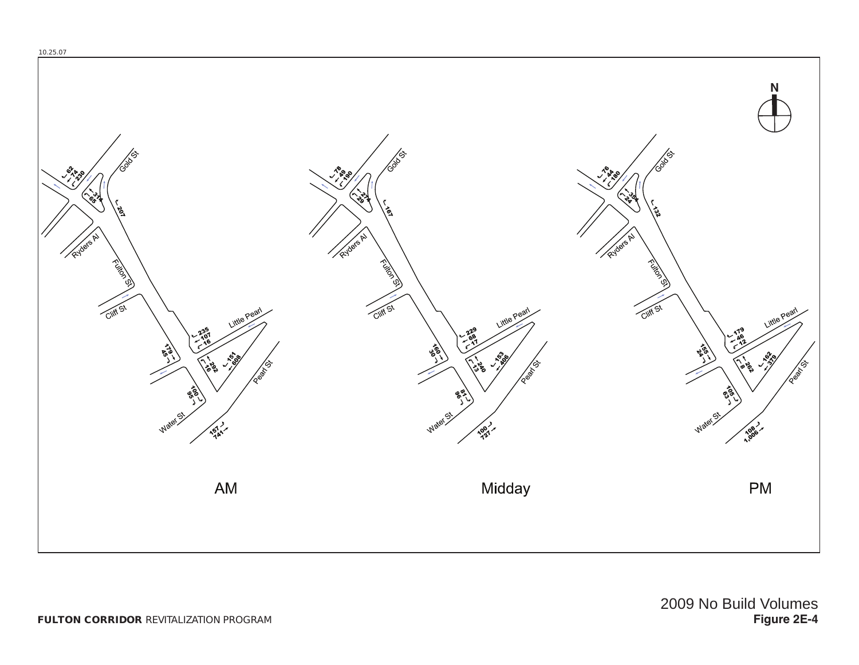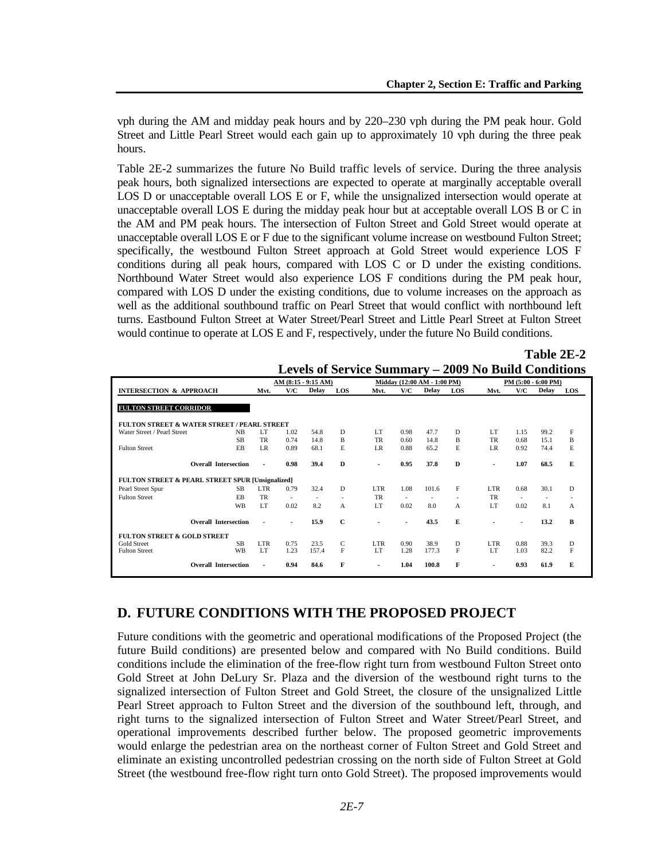vph during the AM and midday peak hours and by 220–230 vph during the PM peak hour. Gold Street and Little Pearl Street would each gain up to approximately 10 vph during the three peak hours.

Table 2E-2 summarizes the future No Build traffic levels of service. During the three analysis peak hours, both signalized intersections are expected to operate at marginally acceptable overall LOS D or unacceptable overall LOS E or F, while the unsignalized intersection would operate at unacceptable overall LOS E during the midday peak hour but at acceptable overall LOS B or C in the AM and PM peak hours. The intersection of Fulton Street and Gold Street would operate at unacceptable overall LOS E or F due to the significant volume increase on westbound Fulton Street; specifically, the westbound Fulton Street approach at Gold Street would experience LOS F conditions during all peak hours, compared with LOS C or D under the existing conditions. Northbound Water Street would also experience LOS F conditions during the PM peak hour, compared with LOS D under the existing conditions, due to volume increases on the approach as well as the additional southbound traffic on Pearl Street that would conflict with northbound left turns. Eastbound Fulton Street at Water Street/Pearl Street and Little Pearl Street at Fulton Street would continue to operate at LOS E and F, respectively, under the future No Build conditions.

|                                                             |                |                          |              |              | Levels of Set vice Summary $-$ |                          |                             |     | <b><i>AUUZ</i></b> THU DUITU CUITUITUITS |        |                     |     |
|-------------------------------------------------------------|----------------|--------------------------|--------------|--------------|--------------------------------|--------------------------|-----------------------------|-----|------------------------------------------|--------|---------------------|-----|
|                                                             |                | AM (8:15 - 9:15 AM)      |              |              |                                |                          | Midday (12:00 AM - 1:00 PM) |     |                                          |        | PM (5:00 - 6:00 PM) |     |
| <b>INTERSECTION &amp; APPROACH</b>                          | Mvt.           | V/C                      | <b>Delay</b> | LOS          | Mvt.                           | V/C                      | <b>Delay</b>                | LOS | Mvt.                                     | V/C    | Delay               | LOS |
|                                                             |                |                          |              |              |                                |                          |                             |     |                                          |        |                     |     |
| <b>FULTON STREET CORRIDOR</b>                               |                |                          |              |              |                                |                          |                             |     |                                          |        |                     |     |
|                                                             |                |                          |              |              |                                |                          |                             |     |                                          |        |                     |     |
| <b>FULTON STREET &amp; WATER STREET / PEARL STREET</b>      |                |                          |              |              |                                |                          |                             |     |                                          |        |                     |     |
| Water Street / Pearl Street<br><b>NB</b>                    | LT             | 1.02                     | 54.8         | D            | LT.                            | 0.98                     | 47.7                        | D   | LT.                                      | 1.15   | 99.2                | F   |
| <b>SB</b>                                                   | TR             | 0.74                     | 14.8         | B            | TR                             | 0.60                     | 14.8                        | B   | TR                                       | 0.68   | 15.1                | B   |
| <b>Fulton Street</b><br>EB                                  | LR.            | 0.89                     | 68.1         | E            | LR.                            | 0.88                     | 65.2                        | E   | LR.                                      | 0.92   | 74.4                | E   |
|                                                             |                |                          |              |              |                                |                          |                             |     |                                          |        |                     |     |
| <b>Overall Intersection</b>                                 | $\blacksquare$ | 0.98                     | 39.4         | D            | $\blacksquare$                 | 0.95                     | 37.8                        | D   | $\overline{\phantom{a}}$                 | 1.07   | 68.5                | E   |
|                                                             |                |                          |              |              |                                |                          |                             |     |                                          |        |                     |     |
| <b>FULTON STREET &amp; PEARL STREET SPUR [Unsignalized]</b> |                |                          |              |              |                                |                          |                             |     |                                          |        |                     |     |
| Pearl Street Spur<br><b>SB</b>                              | <b>LTR</b>     | 0.79                     | 32.4         | D            | LTR.                           | 1.08                     | 101.6                       | F   | LTR.                                     | 0.68   | 30.1                | D   |
| <b>Fulton Street</b><br>EB                                  | TR             | $\overline{\phantom{a}}$ |              |              | TR                             | $\overline{\phantom{a}}$ | $\overline{\phantom{a}}$    |     | TR                                       | $\sim$ | ٠                   |     |
| <b>WB</b>                                                   | LT.            | 0.02                     | 8.2          | А            | LT                             | 0.02                     | 8.0                         | A   | LT                                       | 0.02   | 8.1                 | A   |
|                                                             |                |                          |              |              |                                |                          |                             |     |                                          |        |                     |     |
| <b>Overall Intersection</b>                                 | $\blacksquare$ | ٠.                       | 15.9         | $\mathbf{C}$ | ٠                              |                          | 43.5                        | E   | ٠                                        | $\sim$ | 13.2                | B   |
|                                                             |                |                          |              |              |                                |                          |                             |     |                                          |        |                     |     |
| <b>FULTON STREET &amp; GOLD STREET</b>                      |                |                          |              |              |                                |                          |                             |     |                                          |        |                     |     |
| <b>Gold Street</b><br><b>SB</b>                             | LTR.           | 0.75                     | 23.5         | C            | LTR.                           | 0.90                     | 38.9                        | D   | LTR.                                     | 0.88   | 39.3                | D   |
| <b>WB</b><br><b>Fulton Street</b>                           | LT.            | 1.23                     | 157.4        | F            | LT.                            | 1.28                     | 177.3                       | F   | LT                                       | 1.03   | 82.2                | F   |
| <b>Overall Intersection</b>                                 | $\blacksquare$ | 0.94                     | 84.6         | F            |                                | 1.04                     | 100.8                       | F   |                                          | 0.93   | 61.9                | E   |
|                                                             |                |                          |              |              | ٠                              |                          |                             |     | $\blacksquare$                           |        |                     |     |

## **Table 2E-2 Levels of Service Summary – 2009 No Build Conditions**

# **D. FUTURE CONDITIONS WITH THE PROPOSED PROJECT**

Future conditions with the geometric and operational modifications of the Proposed Project (the future Build conditions) are presented below and compared with No Build conditions. Build conditions include the elimination of the free-flow right turn from westbound Fulton Street onto Gold Street at John DeLury Sr. Plaza and the diversion of the westbound right turns to the signalized intersection of Fulton Street and Gold Street, the closure of the unsignalized Little Pearl Street approach to Fulton Street and the diversion of the southbound left, through, and right turns to the signalized intersection of Fulton Street and Water Street/Pearl Street, and operational improvements described further below. The proposed geometric improvements would enlarge the pedestrian area on the northeast corner of Fulton Street and Gold Street and eliminate an existing uncontrolled pedestrian crossing on the north side of Fulton Street at Gold Street (the westbound free-flow right turn onto Gold Street). The proposed improvements would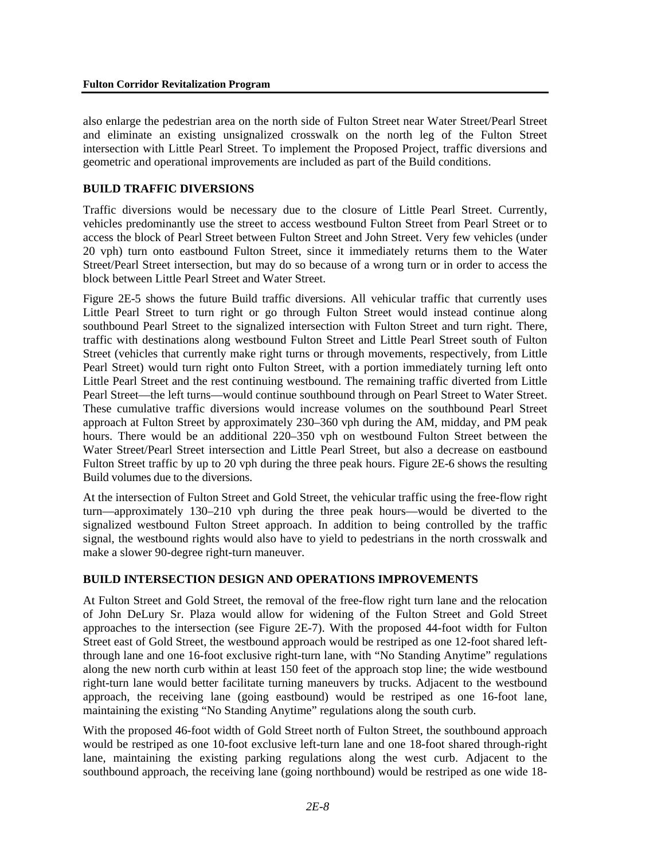also enlarge the pedestrian area on the north side of Fulton Street near Water Street/Pearl Street and eliminate an existing unsignalized crosswalk on the north leg of the Fulton Street intersection with Little Pearl Street. To implement the Proposed Project, traffic diversions and geometric and operational improvements are included as part of the Build conditions.

## **BUILD TRAFFIC DIVERSIONS**

Traffic diversions would be necessary due to the closure of Little Pearl Street. Currently, vehicles predominantly use the street to access westbound Fulton Street from Pearl Street or to access the block of Pearl Street between Fulton Street and John Street. Very few vehicles (under 20 vph) turn onto eastbound Fulton Street, since it immediately returns them to the Water Street/Pearl Street intersection, but may do so because of a wrong turn or in order to access the block between Little Pearl Street and Water Street.

Figure 2E-5 shows the future Build traffic diversions. All vehicular traffic that currently uses Little Pearl Street to turn right or go through Fulton Street would instead continue along southbound Pearl Street to the signalized intersection with Fulton Street and turn right. There, traffic with destinations along westbound Fulton Street and Little Pearl Street south of Fulton Street (vehicles that currently make right turns or through movements, respectively, from Little Pearl Street) would turn right onto Fulton Street, with a portion immediately turning left onto Little Pearl Street and the rest continuing westbound. The remaining traffic diverted from Little Pearl Street—the left turns—would continue southbound through on Pearl Street to Water Street. These cumulative traffic diversions would increase volumes on the southbound Pearl Street approach at Fulton Street by approximately 230–360 vph during the AM, midday, and PM peak hours. There would be an additional 220–350 vph on westbound Fulton Street between the Water Street/Pearl Street intersection and Little Pearl Street, but also a decrease on eastbound Fulton Street traffic by up to 20 vph during the three peak hours. Figure 2E-6 shows the resulting Build volumes due to the diversions.

At the intersection of Fulton Street and Gold Street, the vehicular traffic using the free-flow right turn—approximately 130–210 vph during the three peak hours—would be diverted to the signalized westbound Fulton Street approach. In addition to being controlled by the traffic signal, the westbound rights would also have to yield to pedestrians in the north crosswalk and make a slower 90-degree right-turn maneuver.

## **BUILD INTERSECTION DESIGN AND OPERATIONS IMPROVEMENTS**

At Fulton Street and Gold Street, the removal of the free-flow right turn lane and the relocation of John DeLury Sr. Plaza would allow for widening of the Fulton Street and Gold Street approaches to the intersection (see Figure 2E-7). With the proposed 44-foot width for Fulton Street east of Gold Street, the westbound approach would be restriped as one 12-foot shared leftthrough lane and one 16-foot exclusive right-turn lane, with "No Standing Anytime" regulations along the new north curb within at least 150 feet of the approach stop line; the wide westbound right-turn lane would better facilitate turning maneuvers by trucks. Adjacent to the westbound approach, the receiving lane (going eastbound) would be restriped as one 16-foot lane, maintaining the existing "No Standing Anytime" regulations along the south curb.

With the proposed 46-foot width of Gold Street north of Fulton Street, the southbound approach would be restriped as one 10-foot exclusive left-turn lane and one 18-foot shared through-right lane, maintaining the existing parking regulations along the west curb. Adjacent to the southbound approach, the receiving lane (going northbound) would be restriped as one wide 18-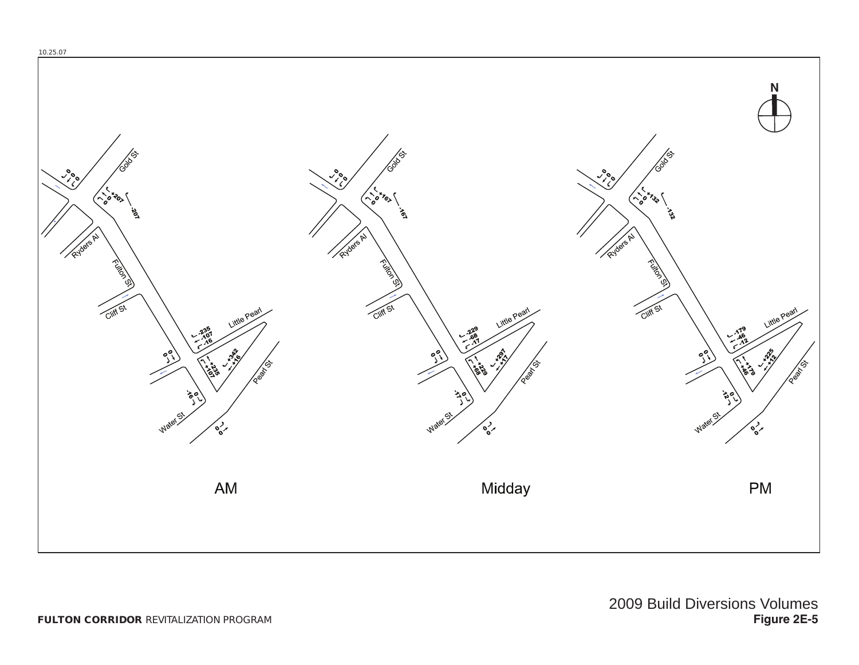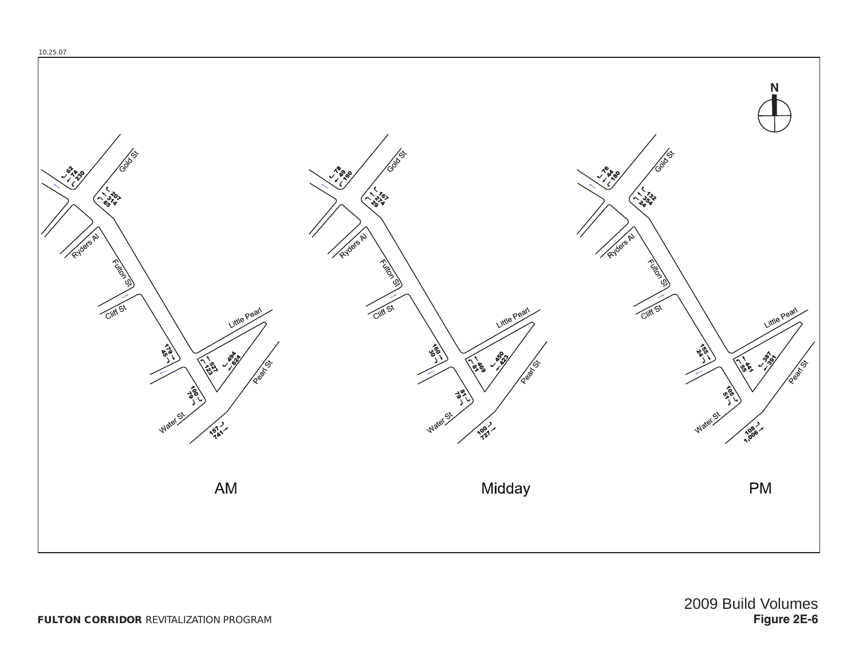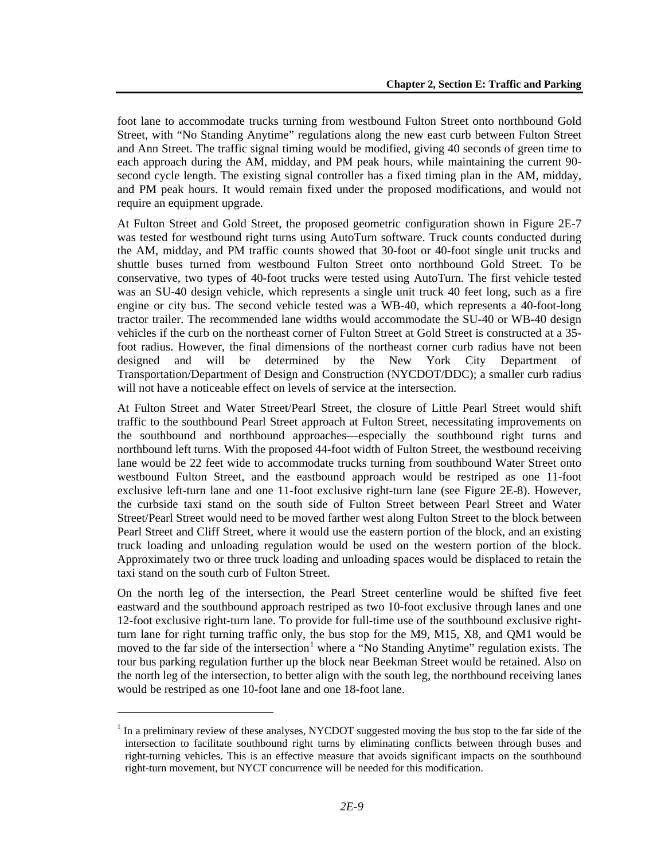foot lane to accommodate trucks turning from westbound Fulton Street onto northbound Gold Street, with "No Standing Anytime" regulations along the new east curb between Fulton Street and Ann Street. The traffic signal timing would be modified, giving 40 seconds of green time to each approach during the AM, midday, and PM peak hours, while maintaining the current 90 second cycle length. The existing signal controller has a fixed timing plan in the AM, midday, and PM peak hours. It would remain fixed under the proposed modifications, and would not require an equipment upgrade.

At Fulton Street and Gold Street, the proposed geometric configuration shown in Figure 2E-7 was tested for westbound right turns using AutoTurn software. Truck counts conducted during the AM, midday, and PM traffic counts showed that 30-foot or 40-foot single unit trucks and shuttle buses turned from westbound Fulton Street onto northbound Gold Street. To be conservative, two types of 40-foot trucks were tested using AutoTurn. The first vehicle tested was an SU-40 design vehicle, which represents a single unit truck 40 feet long, such as a fire engine or city bus. The second vehicle tested was a WB-40, which represents a 40-foot-long tractor trailer. The recommended lane widths would accommodate the SU-40 or WB-40 design vehicles if the curb on the northeast corner of Fulton Street at Gold Street is constructed at a 35 foot radius. However, the final dimensions of the northeast corner curb radius have not been designed and will be determined by the New York City Department of Transportation/Department of Design and Construction (NYCDOT/DDC); a smaller curb radius will not have a noticeable effect on levels of service at the intersection.

At Fulton Street and Water Street/Pearl Street, the closure of Little Pearl Street would shift traffic to the southbound Pearl Street approach at Fulton Street, necessitating improvements on the southbound and northbound approaches—especially the southbound right turns and northbound left turns. With the proposed 44-foot width of Fulton Street, the westbound receiving lane would be 22 feet wide to accommodate trucks turning from southbound Water Street onto westbound Fulton Street, and the eastbound approach would be restriped as one 11-foot exclusive left-turn lane and one 11-foot exclusive right-turn lane (see Figure 2E-8). However, the curbside taxi stand on the south side of Fulton Street between Pearl Street and Water Street/Pearl Street would need to be moved farther west along Fulton Street to the block between Pearl Street and Cliff Street, where it would use the eastern portion of the block, and an existing truck loading and unloading regulation would be used on the western portion of the block. Approximately two or three truck loading and unloading spaces would be displaced to retain the taxi stand on the south curb of Fulton Street.

On the north leg of the intersection, the Pearl Street centerline would be shifted five feet eastward and the southbound approach restriped as two 10-foot exclusive through lanes and one 12-foot exclusive right-turn lane. To provide for full-time use of the southbound exclusive rightturn lane for right turning traffic only, the bus stop for the M9, M15, X8, and QM1 would be moved to the far side of the intersection<sup>[1](#page-14-0)</sup> where a "No Standing Anytime" regulation exists. The tour bus parking regulation further up the block near Beekman Street would be retained. Also on the north leg of the intersection, to better align with the south leg, the northbound receiving lanes would be restriped as one 10-foot lane and one 18-foot lane.

l

<span id="page-14-0"></span> $1$  In a preliminary review of these analyses, NYCDOT suggested moving the bus stop to the far side of the intersection to facilitate southbound right turns by eliminating conflicts between through buses and right-turning vehicles. This is an effective measure that avoids significant impacts on the southbound right-turn movement, but NYCT concurrence will be needed for this modification.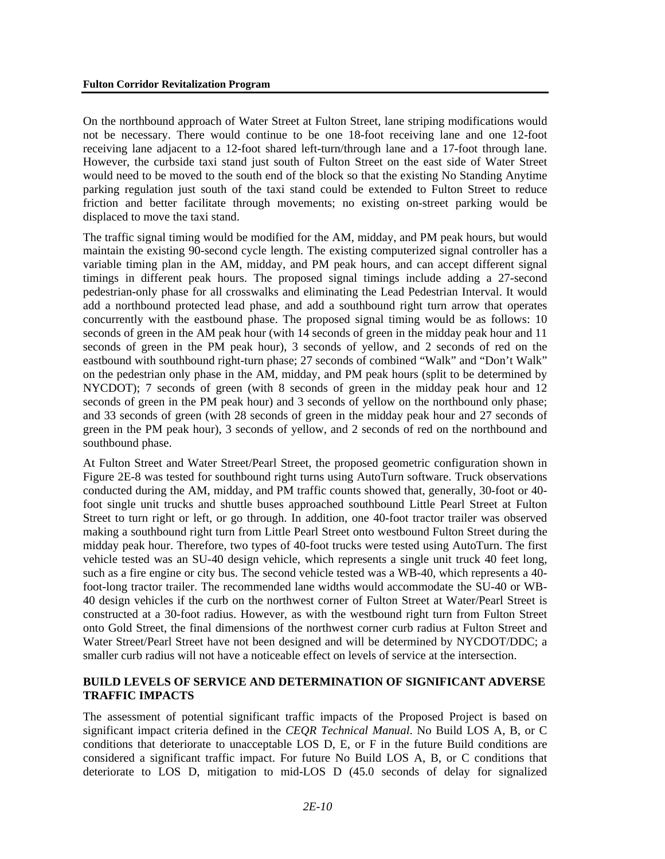On the northbound approach of Water Street at Fulton Street, lane striping modifications would not be necessary. There would continue to be one 18-foot receiving lane and one 12-foot receiving lane adjacent to a 12-foot shared left-turn/through lane and a 17-foot through lane. However, the curbside taxi stand just south of Fulton Street on the east side of Water Street would need to be moved to the south end of the block so that the existing No Standing Anytime parking regulation just south of the taxi stand could be extended to Fulton Street to reduce friction and better facilitate through movements; no existing on-street parking would be displaced to move the taxi stand.

The traffic signal timing would be modified for the AM, midday, and PM peak hours, but would maintain the existing 90-second cycle length. The existing computerized signal controller has a variable timing plan in the AM, midday, and PM peak hours, and can accept different signal timings in different peak hours. The proposed signal timings include adding a 27-second pedestrian-only phase for all crosswalks and eliminating the Lead Pedestrian Interval. It would add a northbound protected lead phase, and add a southbound right turn arrow that operates concurrently with the eastbound phase. The proposed signal timing would be as follows: 10 seconds of green in the AM peak hour (with 14 seconds of green in the midday peak hour and 11 seconds of green in the PM peak hour), 3 seconds of yellow, and 2 seconds of red on the eastbound with southbound right-turn phase; 27 seconds of combined "Walk" and "Don't Walk" on the pedestrian only phase in the AM, midday, and PM peak hours (split to be determined by NYCDOT); 7 seconds of green (with 8 seconds of green in the midday peak hour and 12 seconds of green in the PM peak hour) and 3 seconds of yellow on the northbound only phase; and 33 seconds of green (with 28 seconds of green in the midday peak hour and 27 seconds of green in the PM peak hour), 3 seconds of yellow, and 2 seconds of red on the northbound and southbound phase.

At Fulton Street and Water Street/Pearl Street, the proposed geometric configuration shown in Figure 2E-8 was tested for southbound right turns using AutoTurn software. Truck observations conducted during the AM, midday, and PM traffic counts showed that, generally, 30-foot or 40 foot single unit trucks and shuttle buses approached southbound Little Pearl Street at Fulton Street to turn right or left, or go through. In addition, one 40-foot tractor trailer was observed making a southbound right turn from Little Pearl Street onto westbound Fulton Street during the midday peak hour. Therefore, two types of 40-foot trucks were tested using AutoTurn. The first vehicle tested was an SU-40 design vehicle, which represents a single unit truck 40 feet long, such as a fire engine or city bus. The second vehicle tested was a WB-40, which represents a 40 foot-long tractor trailer. The recommended lane widths would accommodate the SU-40 or WB-40 design vehicles if the curb on the northwest corner of Fulton Street at Water/Pearl Street is constructed at a 30-foot radius. However, as with the westbound right turn from Fulton Street onto Gold Street, the final dimensions of the northwest corner curb radius at Fulton Street and Water Street/Pearl Street have not been designed and will be determined by NYCDOT/DDC; a smaller curb radius will not have a noticeable effect on levels of service at the intersection.

## **BUILD LEVELS OF SERVICE AND DETERMINATION OF SIGNIFICANT ADVERSE TRAFFIC IMPACTS**

The assessment of potential significant traffic impacts of the Proposed Project is based on significant impact criteria defined in the *CEQR Technical Manual*. No Build LOS A, B, or C conditions that deteriorate to unacceptable LOS D, E, or F in the future Build conditions are considered a significant traffic impact. For future No Build LOS A, B, or C conditions that deteriorate to LOS D, mitigation to mid-LOS D (45.0 seconds of delay for signalized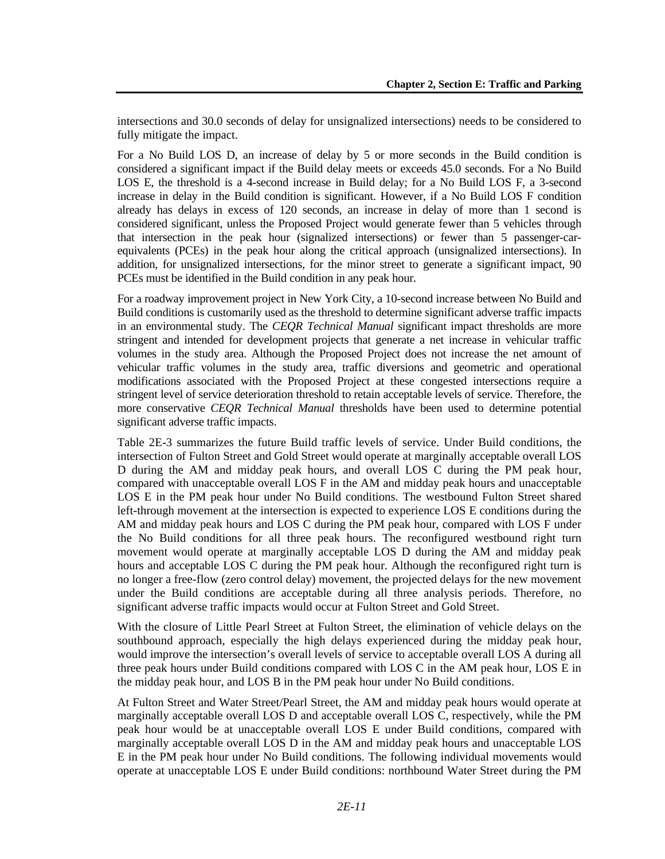intersections and 30.0 seconds of delay for unsignalized intersections) needs to be considered to fully mitigate the impact.

For a No Build LOS D, an increase of delay by 5 or more seconds in the Build condition is considered a significant impact if the Build delay meets or exceeds 45.0 seconds. For a No Build LOS E, the threshold is a 4-second increase in Build delay; for a No Build LOS F, a 3-second increase in delay in the Build condition is significant. However, if a No Build LOS F condition already has delays in excess of 120 seconds, an increase in delay of more than 1 second is considered significant, unless the Proposed Project would generate fewer than 5 vehicles through that intersection in the peak hour (signalized intersections) or fewer than 5 passenger-carequivalents (PCEs) in the peak hour along the critical approach (unsignalized intersections). In addition, for unsignalized intersections, for the minor street to generate a significant impact, 90 PCEs must be identified in the Build condition in any peak hour.

For a roadway improvement project in New York City, a 10-second increase between No Build and Build conditions is customarily used as the threshold to determine significant adverse traffic impacts in an environmental study. The *CEQR Technical Manual* significant impact thresholds are more stringent and intended for development projects that generate a net increase in vehicular traffic volumes in the study area. Although the Proposed Project does not increase the net amount of vehicular traffic volumes in the study area, traffic diversions and geometric and operational modifications associated with the Proposed Project at these congested intersections require a stringent level of service deterioration threshold to retain acceptable levels of service. Therefore, the more conservative *CEQR Technical Manual* thresholds have been used to determine potential significant adverse traffic impacts.

Table 2E-3 summarizes the future Build traffic levels of service. Under Build conditions, the intersection of Fulton Street and Gold Street would operate at marginally acceptable overall LOS D during the AM and midday peak hours, and overall LOS C during the PM peak hour, compared with unacceptable overall LOS F in the AM and midday peak hours and unacceptable LOS E in the PM peak hour under No Build conditions. The westbound Fulton Street shared left-through movement at the intersection is expected to experience LOS E conditions during the AM and midday peak hours and LOS C during the PM peak hour, compared with LOS F under the No Build conditions for all three peak hours. The reconfigured westbound right turn movement would operate at marginally acceptable LOS D during the AM and midday peak hours and acceptable LOS C during the PM peak hour. Although the reconfigured right turn is no longer a free-flow (zero control delay) movement, the projected delays for the new movement under the Build conditions are acceptable during all three analysis periods. Therefore, no significant adverse traffic impacts would occur at Fulton Street and Gold Street.

With the closure of Little Pearl Street at Fulton Street, the elimination of vehicle delays on the southbound approach, especially the high delays experienced during the midday peak hour, would improve the intersection's overall levels of service to acceptable overall LOS A during all three peak hours under Build conditions compared with LOS C in the AM peak hour, LOS E in the midday peak hour, and LOS B in the PM peak hour under No Build conditions.

At Fulton Street and Water Street/Pearl Street, the AM and midday peak hours would operate at marginally acceptable overall LOS D and acceptable overall LOS C, respectively, while the PM peak hour would be at unacceptable overall LOS E under Build conditions, compared with marginally acceptable overall LOS D in the AM and midday peak hours and unacceptable LOS E in the PM peak hour under No Build conditions. The following individual movements would operate at unacceptable LOS E under Build conditions: northbound Water Street during the PM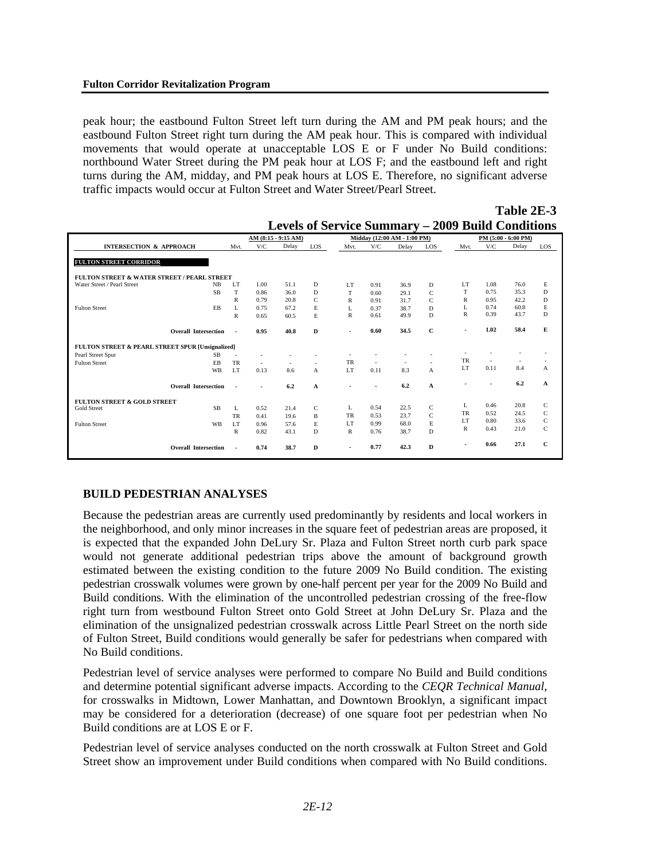peak hour; the eastbound Fulton Street left turn during the AM and PM peak hours; and the eastbound Fulton Street right turn during the AM peak hour. This is compared with individual movements that would operate at unacceptable LOS E or F under No Build conditions: northbound Water Street during the PM peak hour at LOS F; and the eastbound left and right turns during the AM, midday, and PM peak hours at LOS E. Therefore, no significant adverse traffic impacts would occur at Fulton Street and Water Street/Pearl Street.

|                                                  |                |        | .                   |              |                          |                             |       |              |                          |                          |                          |              |
|--------------------------------------------------|----------------|--------|---------------------|--------------|--------------------------|-----------------------------|-------|--------------|--------------------------|--------------------------|--------------------------|--------------|
|                                                  |                |        | AM (8:15 - 9:15 AM) |              |                          | Midday (12:00 AM - 1:00 PM) |       |              |                          |                          | PM (5:00 - 6:00 PM)      |              |
| <b>INTERSECTION &amp; APPROACH</b>               | Mvt.           | V/C    | Delay               | LOS          | Mvt.                     | V/C                         | Delay | LOS          | Mvt.                     | V/C                      | Delay                    | LOS          |
|                                                  |                |        |                     |              |                          |                             |       |              |                          |                          |                          |              |
| <b>FULTON STREET CORRIDOR</b>                    |                |        |                     |              |                          |                             |       |              |                          |                          |                          |              |
| FULTON STREET & WATER STREET / PEARL STREET      |                |        |                     |              |                          |                             |       |              |                          |                          |                          |              |
| Water Street / Pearl Street<br>NB                | LT             | 1.00   | 51.1                | D            | LT                       | 0.91                        | 36.9  | D            | LT                       | 1.08                     | 76.0                     | E            |
| <b>SB</b>                                        | T              | 0.86   | 36.0                | D            | T                        | 0.60                        | 29.1  | $\mathsf{C}$ | T                        | 0.75                     | 35.3                     | D            |
|                                                  | $\mathbb{R}$   | 0.79   | 20.8                | C            | R                        | 0.91                        | 31.7  | C            | R                        | 0.95                     | 42.2                     | D            |
| EB<br><b>Fulton Street</b>                       | L              | 0.75   | 67.2                | E            | L                        | 0.37                        | 38.7  | D            | L                        | 0.74                     | 60.8                     | E            |
|                                                  | $\mathbb{R}$   | 0.65   | 60.5                | $\mathbf E$  | $\mathbb{R}$             | 0.61                        | 49.9  | D            | R                        | 0.39                     | 43.7                     | D            |
|                                                  |                |        |                     |              |                          |                             |       |              |                          |                          |                          |              |
| <b>Overall Intersection</b>                      | ٠              | 0.95   | 40.8                | D            | $\blacksquare$           | 0.60                        | 34.5  | $\mathbf{C}$ | $\overline{\phantom{0}}$ | 1.02                     | 58.4                     | E            |
| FULTON STREET & PEARL STREET SPUR [Unsignalized] |                |        |                     |              |                          |                             |       |              |                          |                          |                          |              |
| <b>SB</b><br>Pearl Street Spur                   | ÷.             |        |                     |              |                          |                             |       |              |                          |                          |                          |              |
| <b>Fulton Street</b><br>EB                       | <b>TR</b>      | $\sim$ | ٠                   | $\sim$       | <b>TR</b>                | ÷,                          | ÷.    | $\sim$       | <b>TR</b>                | ٠                        | $\overline{\phantom{a}}$ |              |
| WB                                               | LT             | 0.13   | 8.6                 | A            | LT                       | 0.11                        | 8.3   | A            | LT                       | 0.11                     | 8.4                      | A            |
|                                                  |                |        |                     |              |                          |                             |       |              |                          |                          |                          |              |
| <b>Overall Intersection</b>                      | ٠              |        | 6.2                 | A            | $\overline{\phantom{a}}$ | ٠                           | 6.2   | A            | $\overline{\phantom{a}}$ | $\overline{\phantom{a}}$ | 6.2                      | A            |
| <b>FULTON STREET &amp; GOLD STREET</b>           |                |        |                     |              |                          |                             |       |              |                          |                          |                          |              |
| <b>SB</b><br><b>Gold Street</b>                  | L              | 0.52   | 21.4                | $\mathsf{C}$ | L                        | 0.54                        | 22.5  | $\mathsf C$  | L                        | 0.46                     | 20.8                     | C            |
|                                                  | TR             | 0.41   | 19.6                | B            | TR                       | 0.53                        | 23.7  | $\mathsf{C}$ | <b>TR</b>                | 0.52                     | 24.5                     | $\mathsf{C}$ |
| <b>WB</b><br><b>Fulton Street</b>                | LT             | 0.96   | 57.6                | E            | LT                       | 0.99                        | 68.0  | E.           | LT                       | 0.80                     | 33.6                     | $\mathsf{C}$ |
|                                                  | $\mathbb{R}$   | 0.82   | 43.1                | D            | $\mathbb{R}$             | 0.76                        | 38.7  | D            | R                        | 0.43                     | 21.0                     | $\mathsf{C}$ |
|                                                  |                |        |                     |              |                          |                             |       |              |                          |                          |                          |              |
| <b>Overall Intersection</b>                      | $\blacksquare$ | 0.74   | 38.7                | D            | $\blacksquare$           | 0.77                        | 42.3  | D            |                          | 0.66                     | 27.1                     | $\mathbf{C}$ |
|                                                  |                |        |                     |              |                          |                             |       |              |                          |                          |                          |              |

|                                                          | Table 2B-5 |
|----------------------------------------------------------|------------|
| <b>Levels of Service Summary – 2009 Build Conditions</b> |            |

**Table 2E-3**

## **BUILD PEDESTRIAN ANALYSES**

Because the pedestrian areas are currently used predominantly by residents and local workers in the neighborhood, and only minor increases in the square feet of pedestrian areas are proposed, it is expected that the expanded John DeLury Sr. Plaza and Fulton Street north curb park space would not generate additional pedestrian trips above the amount of background growth estimated between the existing condition to the future 2009 No Build condition. The existing pedestrian crosswalk volumes were grown by one-half percent per year for the 2009 No Build and Build conditions. With the elimination of the uncontrolled pedestrian crossing of the free-flow right turn from westbound Fulton Street onto Gold Street at John DeLury Sr. Plaza and the elimination of the unsignalized pedestrian crosswalk across Little Pearl Street on the north side of Fulton Street, Build conditions would generally be safer for pedestrians when compared with No Build conditions.

Pedestrian level of service analyses were performed to compare No Build and Build conditions and determine potential significant adverse impacts. According to the *CEQR Technical Manual*, for crosswalks in Midtown, Lower Manhattan, and Downtown Brooklyn, a significant impact may be considered for a deterioration (decrease) of one square foot per pedestrian when No Build conditions are at LOS E or F.

Pedestrian level of service analyses conducted on the north crosswalk at Fulton Street and Gold Street show an improvement under Build conditions when compared with No Build conditions.